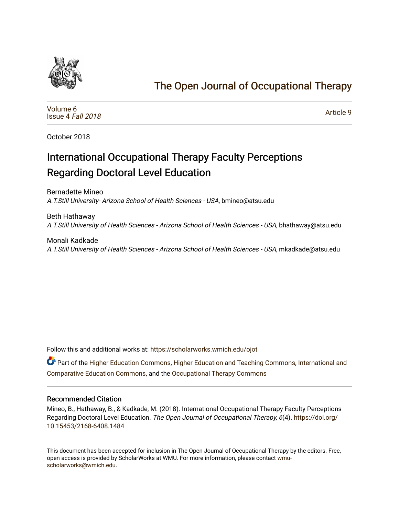

# [The Open Journal of Occupational Therapy](https://scholarworks.wmich.edu/ojot)

[Volume 6](https://scholarworks.wmich.edu/ojot/vol6) [Issue 4](https://scholarworks.wmich.edu/ojot/vol6/iss4) Fall 2018

[Article 9](https://scholarworks.wmich.edu/ojot/vol6/iss4/9) 

October 2018

# International Occupational Therapy Faculty Perceptions Regarding Doctoral Level Education

Bernadette Mineo

A.T.Still University- Arizona School of Health Sciences - USA, bmineo@atsu.edu

Beth Hathaway A.T.Still University of Health Sciences - Arizona School of Health Sciences - USA, bhathaway@atsu.edu

Monali Kadkade A.T.Still University of Health Sciences - Arizona School of Health Sciences - USA, mkadkade@atsu.edu

Follow this and additional works at: [https://scholarworks.wmich.edu/ojot](https://scholarworks.wmich.edu/ojot?utm_source=scholarworks.wmich.edu%2Fojot%2Fvol6%2Fiss4%2F9&utm_medium=PDF&utm_campaign=PDFCoverPages)

**C** Part of the [Higher Education Commons,](http://network.bepress.com/hgg/discipline/1245?utm_source=scholarworks.wmich.edu%2Fojot%2Fvol6%2Fiss4%2F9&utm_medium=PDF&utm_campaign=PDFCoverPages) [Higher Education and Teaching Commons](http://network.bepress.com/hgg/discipline/806?utm_source=scholarworks.wmich.edu%2Fojot%2Fvol6%2Fiss4%2F9&utm_medium=PDF&utm_campaign=PDFCoverPages), International and [Comparative Education Commons,](http://network.bepress.com/hgg/discipline/797?utm_source=scholarworks.wmich.edu%2Fojot%2Fvol6%2Fiss4%2F9&utm_medium=PDF&utm_campaign=PDFCoverPages) and the [Occupational Therapy Commons](http://network.bepress.com/hgg/discipline/752?utm_source=scholarworks.wmich.edu%2Fojot%2Fvol6%2Fiss4%2F9&utm_medium=PDF&utm_campaign=PDFCoverPages)

#### Recommended Citation

Mineo, B., Hathaway, B., & Kadkade, M. (2018). International Occupational Therapy Faculty Perceptions Regarding Doctoral Level Education. The Open Journal of Occupational Therapy, 6(4). [https://doi.org/](https://doi.org/10.15453/2168-6408.1484) [10.15453/2168-6408.1484](https://doi.org/10.15453/2168-6408.1484) 

This document has been accepted for inclusion in The Open Journal of Occupational Therapy by the editors. Free, open access is provided by ScholarWorks at WMU. For more information, please contact [wmu](mailto:wmu-scholarworks@wmich.edu)[scholarworks@wmich.edu.](mailto:wmu-scholarworks@wmich.edu)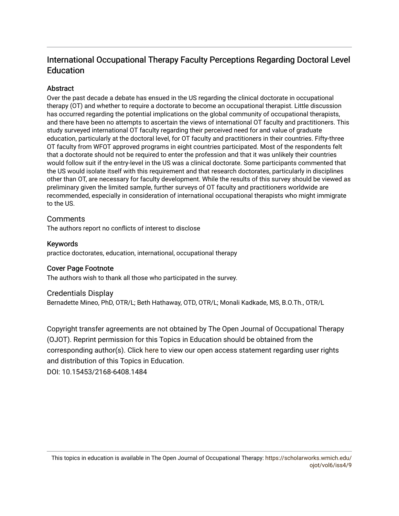# International Occupational Therapy Faculty Perceptions Regarding Doctoral Level Education

# **Abstract**

Over the past decade a debate has ensued in the US regarding the clinical doctorate in occupational therapy (OT) and whether to require a doctorate to become an occupational therapist. Little discussion has occurred regarding the potential implications on the global community of occupational therapists, and there have been no attempts to ascertain the views of international OT faculty and practitioners. This study surveyed international OT faculty regarding their perceived need for and value of graduate education, particularly at the doctoral level, for OT faculty and practitioners in their countries. Fifty-three OT faculty from WFOT approved programs in eight countries participated. Most of the respondents felt that a doctorate should not be required to enter the profession and that it was unlikely their countries would follow suit if the entry-level in the US was a clinical doctorate. Some participants commented that the US would isolate itself with this requirement and that research doctorates, particularly in disciplines other than OT, are necessary for faculty development. While the results of this survey should be viewed as preliminary given the limited sample, further surveys of OT faculty and practitioners worldwide are recommended, especially in consideration of international occupational therapists who might immigrate to the US.

# **Comments**

The authors report no conflicts of interest to disclose

# Keywords

practice doctorates, education, international, occupational therapy

# Cover Page Footnote

The authors wish to thank all those who participated in the survey.

# Credentials Display

Bernadette Mineo, PhD, OTR/L; Beth Hathaway, OTD, OTR/L; Monali Kadkade, MS, B.O.Th., OTR/L

Copyright transfer agreements are not obtained by The Open Journal of Occupational Therapy (OJOT). Reprint permission for this Topics in Education should be obtained from the corresponding author(s). Click [here](https://scholarworks.wmich.edu/ojot/policies.html#rights) to view our open access statement regarding user rights and distribution of this Topics in Education.

DOI: 10.15453/2168-6408.1484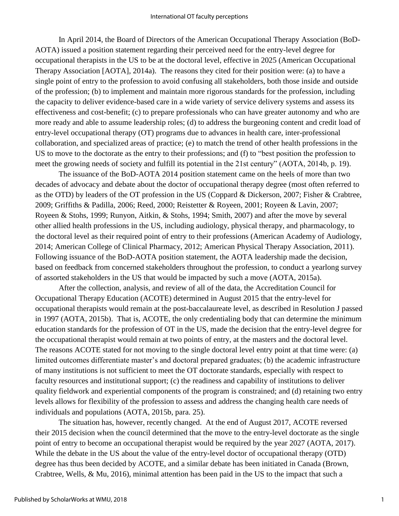In April 2014, the Board of Directors of the American Occupational Therapy Association (BoD-AOTA) issued a position statement regarding their perceived need for the entry-level degree for occupational therapists in the US to be at the doctoral level, effective in 2025 (American Occupational Therapy Association [AOTA], 2014a). The reasons they cited for their position were: (a) to have a single point of entry to the profession to avoid confusing all stakeholders, both those inside and outside of the profession; (b) to implement and maintain more rigorous standards for the profession, including the capacity to deliver evidence-based care in a wide variety of service delivery systems and assess its effectiveness and cost-benefit; (c) to prepare professionals who can have greater autonomy and who are more ready and able to assume leadership roles; (d) to address the burgeoning content and credit load of entry-level occupational therapy (OT) programs due to advances in health care, inter-professional collaboration, and specialized areas of practice; (e) to match the trend of other health professions in the US to move to the doctorate as the entry to their professions; and (f) to "best position the profession to meet the growing needs of society and fulfill its potential in the 21st century" (AOTA, 2014b, p. 19).

The issuance of the BoD-AOTA 2014 position statement came on the heels of more than two decades of advocacy and debate about the doctor of occupational therapy degree (most often referred to as the OTD) by leaders of the OT profession in the US (Coppard & Dickerson, 2007; Fisher & Crabtree, 2009; Griffiths & Padilla, 2006; Reed, 2000; Reistetter & Royeen, 2001; Royeen & Lavin, 2007; Royeen & Stohs, 1999; Runyon, Aitkin, & Stohs, 1994; Smith, 2007) and after the move by several other allied health professions in the US, including audiology, physical therapy, and pharmacology, to the doctoral level as their required point of entry to their professions (American Academy of Audiology, 2014; American College of Clinical Pharmacy, 2012; American Physical Therapy Association, 2011). Following issuance of the BoD-AOTA position statement, the AOTA leadership made the decision, based on feedback from concerned stakeholders throughout the profession, to conduct a yearlong survey of assorted stakeholders in the US that would be impacted by such a move (AOTA, 2015a).

After the collection, analysis, and review of all of the data, the Accreditation Council for Occupational Therapy Education (ACOTE) determined in August 2015 that the entry-level for occupational therapists would remain at the post-baccalaureate level, as described in Resolution J passed in 1997 (AOTA, 2015b). That is, ACOTE, the only credentialing body that can determine the minimum education standards for the profession of OT in the US, made the decision that the entry-level degree for the occupational therapist would remain at two points of entry, at the masters and the doctoral level. The reasons ACOTE stated for not moving to the single doctoral level entry point at that time were: (a) limited outcomes differentiate master's and doctoral prepared graduates; (b) the academic infrastructure of many institutions is not sufficient to meet the OT doctorate standards, especially with respect to faculty resources and institutional support; (c) the readiness and capability of institutions to deliver quality fieldwork and experiential components of the program is constrained; and (d) retaining two entry levels allows for flexibility of the profession to assess and address the changing health care needs of individuals and populations (AOTA, 2015b, para. 25).

The situation has, however, recently changed. At the end of August 2017, ACOTE reversed their 2015 decision when the council determined that the move to the entry-level doctorate as the single point of entry to become an occupational therapist would be required by the year 2027 (AOTA, 2017). While the debate in the US about the value of the entry-level doctor of occupational therapy (OTD) degree has thus been decided by ACOTE, and a similar debate has been initiated in Canada (Brown, Crabtree, Wells, & Mu, 2016), minimal attention has been paid in the US to the impact that such a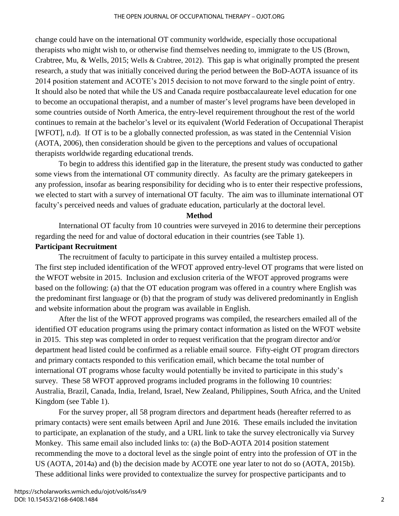change could have on the international OT community worldwide, especially those occupational therapists who might wish to, or otherwise find themselves needing to, immigrate to the US (Brown, Crabtree, Mu, & Wells, 2015; Wells & Crabtree, 2012). This gap is what originally prompted the present research, a study that was initially conceived during the period between the BoD-AOTA issuance of its 2014 position statement and ACOTE's 2015 decision to not move forward to the single point of entry. It should also be noted that while the US and Canada require postbaccalaureate level education for one to become an occupational therapist, and a number of master's level programs have been developed in some countries outside of North America, the entry-level requirement throughout the rest of the world continues to remain at the bachelor's level or its equivalent (World Federation of Occupational Therapist [WFOT], n.d). If OT is to be a globally connected profession, as was stated in the Centennial Vision (AOTA, 2006), then consideration should be given to the perceptions and values of occupational therapists worldwide regarding educational trends.

To begin to address this identified gap in the literature, the present study was conducted to gather some views from the international OT community directly. As faculty are the primary gatekeepers in any profession, insofar as bearing responsibility for deciding who is to enter their respective professions, we elected to start with a survey of international OT faculty. The aim was to illuminate international OT faculty's perceived needs and values of graduate education, particularly at the doctoral level.

#### **Method**

International OT faculty from 10 countries were surveyed in 2016 to determine their perceptions regarding the need for and value of doctoral education in their countries (see Table 1).

# **Participant Recruitment**

The recruitment of faculty to participate in this survey entailed a multistep process. The first step included identification of the WFOT approved entry-level OT programs that were listed on the WFOT website in 2015. Inclusion and exclusion criteria of the WFOT approved programs were based on the following: (a) that the OT education program was offered in a country where English was the predominant first language or (b) that the program of study was delivered predominantly in English and website information about the program was available in English.

After the list of the WFOT approved programs was compiled, the researchers emailed all of the identified OT education programs using the primary contact information as listed on the WFOT website in 2015. This step was completed in order to request verification that the program director and/or department head listed could be confirmed as a reliable email source. Fifty-eight OT program directors and primary contacts responded to this verification email, which became the total number of international OT programs whose faculty would potentially be invited to participate in this study's survey. These 58 WFOT approved programs included programs in the following 10 countries: Australia, Brazil, Canada, India, Ireland, Israel, New Zealand, Philippines, South Africa, and the United Kingdom (see Table 1).

For the survey proper, all 58 program directors and department heads (hereafter referred to as primary contacts) were sent emails between April and June 2016. These emails included the invitation to participate, an explanation of the study, and a URL link to take the survey electronically via Survey Monkey. This same email also included links to: (a) the BoD-AOTA 2014 position statement recommending the move to a doctoral level as the single point of entry into the profession of OT in the US (AOTA, 2014a) and (b) the decision made by ACOTE one year later to not do so (AOTA, 2015b). These additional links were provided to contextualize the survey for prospective participants and to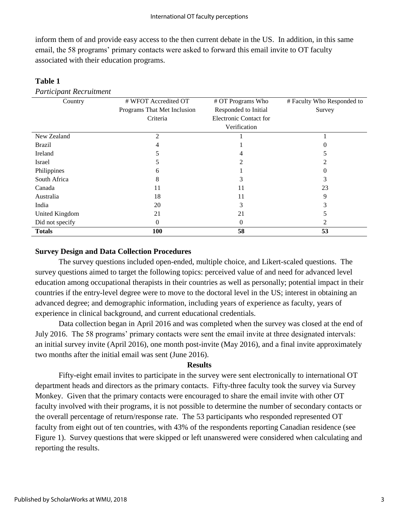inform them of and provide easy access to the then current debate in the US. In addition, in this same email, the 58 programs' primary contacts were asked to forward this email invite to OT faculty associated with their education programs.

### **Table 1**

*Participant Recruitment*

| Country         | # WFOT Accredited OT        | # OT Programs Who             | # Faculty Who Responded to |
|-----------------|-----------------------------|-------------------------------|----------------------------|
|                 | Programs That Met Inclusion | Responded to Initial          | Survey                     |
|                 | Criteria                    | <b>Electronic Contact for</b> |                            |
|                 |                             | Verification                  |                            |
| New Zealand     | $\mathfrak{D}$              |                               |                            |
| <b>Brazil</b>   | 4                           |                               |                            |
| Ireland         |                             |                               |                            |
| Israel          | C                           | $\mathfrak{D}$                |                            |
| Philippines     | 6                           |                               | 0                          |
| South Africa    | 8                           |                               |                            |
| Canada          | 11                          | 11                            | 23                         |
| Australia       | 18                          | 11                            | 9                          |
| India           | 20                          | 3                             |                            |
| United Kingdom  | 21                          | 21                            |                            |
| Did not specify | 0                           | $\Omega$                      |                            |
| <b>Totals</b>   | 100                         | 58                            | 53                         |

### **Survey Design and Data Collection Procedures**

The survey questions included open-ended, multiple choice, and Likert-scaled questions. The survey questions aimed to target the following topics: perceived value of and need for advanced level education among occupational therapists in their countries as well as personally; potential impact in their countries if the entry-level degree were to move to the doctoral level in the US; interest in obtaining an advanced degree; and demographic information, including years of experience as faculty, years of experience in clinical background, and current educational credentials.

Data collection began in April 2016 and was completed when the survey was closed at the end of July 2016. The 58 programs' primary contacts were sent the email invite at three designated intervals: an initial survey invite (April 2016), one month post-invite (May 2016), and a final invite approximately two months after the initial email was sent (June 2016).

# **Results**

Fifty-eight email invites to participate in the survey were sent electronically to international OT department heads and directors as the primary contacts. Fifty-three faculty took the survey via Survey Monkey. Given that the primary contacts were encouraged to share the email invite with other OT faculty involved with their programs, it is not possible to determine the number of secondary contacts or the overall percentage of return/response rate. The 53 participants who responded represented OT faculty from eight out of ten countries, with 43% of the respondents reporting Canadian residence (see Figure 1). Survey questions that were skipped or left unanswered were considered when calculating and reporting the results.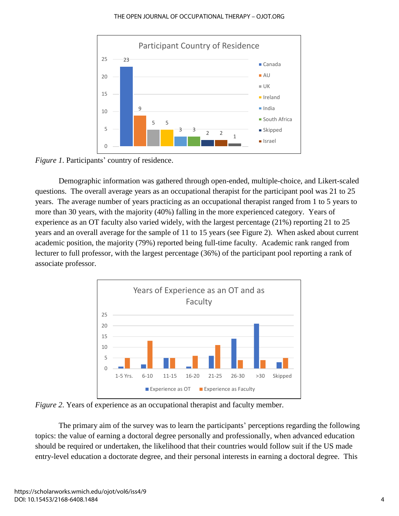#### THE OPEN JOURNAL OF OCCUPATIONAL THERAPY – OJOT.ORG



*Figure 1*. Participants' country of residence.

Demographic information was gathered through open-ended, multiple-choice, and Likert-scaled questions. The overall average years as an occupational therapist for the participant pool was 21 to 25 years. The average number of years practicing as an occupational therapist ranged from 1 to 5 years to more than 30 years, with the majority (40%) falling in the more experienced category. Years of experience as an OT faculty also varied widely, with the largest percentage (21%) reporting 21 to 25 years and an overall average for the sample of 11 to 15 years (see Figure 2). When asked about current academic position, the majority (79%) reported being full-time faculty. Academic rank ranged from lecturer to full professor, with the largest percentage (36%) of the participant pool reporting a rank of associate professor.



*Figure 2.* Years of experience as an occupational therapist and faculty member.

The primary aim of the survey was to learn the participants' perceptions regarding the following topics: the value of earning a doctoral degree personally and professionally, when advanced education should be required or undertaken, the likelihood that their countries would follow suit if the US made entry-level education a doctorate degree, and their personal interests in earning a doctoral degree. This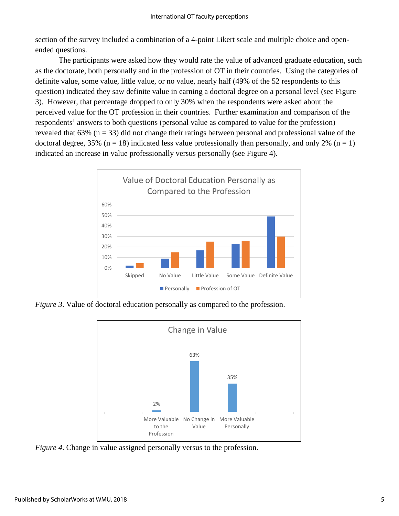section of the survey included a combination of a 4-point Likert scale and multiple choice and openended questions.

The participants were asked how they would rate the value of advanced graduate education, such as the doctorate, both personally and in the profession of OT in their countries. Using the categories of definite value, some value, little value, or no value, nearly half (49% of the 52 respondents to this question) indicated they saw definite value in earning a doctoral degree on a personal level (see Figure 3). However, that percentage dropped to only 30% when the respondents were asked about the perceived value for the OT profession in their countries. Further examination and comparison of the respondents' answers to both questions (personal value as compared to value for the profession) revealed that  $63\%$  (n = 33) did not change their ratings between personal and professional value of the doctoral degree, 35% ( $n = 18$ ) indicated less value professionally than personally, and only 2% ( $n = 1$ ) indicated an increase in value professionally versus personally (see Figure 4).



*Figure 3.* Value of doctoral education personally as compared to the profession.



*Figure 4*. Change in value assigned personally versus to the profession.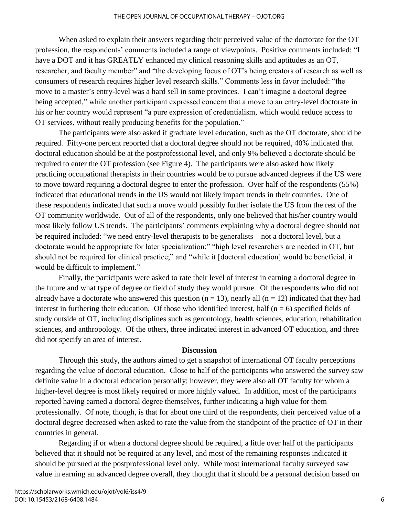When asked to explain their answers regarding their perceived value of the doctorate for the OT profession, the respondents' comments included a range of viewpoints. Positive comments included: "I have a DOT and it has GREATLY enhanced my clinical reasoning skills and aptitudes as an OT, researcher, and faculty member" and "the developing focus of OT's being creators of research as well as consumers of research requires higher level research skills." Comments less in favor included: "the move to a master's entry-level was a hard sell in some provinces. I can't imagine a doctoral degree being accepted," while another participant expressed concern that a move to an entry-level doctorate in his or her country would represent "a pure expression of credentialism, which would reduce access to OT services, without really producing benefits for the population."

The participants were also asked if graduate level education, such as the OT doctorate, should be required. Fifty-one percent reported that a doctoral degree should not be required, 40% indicated that doctoral education should be at the postprofessional level, and only 9% believed a doctorate should be required to enter the OT profession (see Figure 4). The participants were also asked how likely practicing occupational therapists in their countries would be to pursue advanced degrees if the US were to move toward requiring a doctoral degree to enter the profession. Over half of the respondents (55%) indicated that educational trends in the US would not likely impact trends in their countries. One of these respondents indicated that such a move would possibly further isolate the US from the rest of the OT community worldwide. Out of all of the respondents, only one believed that his/her country would most likely follow US trends. The participants' comments explaining why a doctoral degree should not be required included: "we need entry-level therapists to be generalists – not a doctoral level, but a doctorate would be appropriate for later specialization;" "high level researchers are needed in OT, but should not be required for clinical practice;" and "while it [doctoral education] would be beneficial, it would be difficult to implement."

Finally, the participants were asked to rate their level of interest in earning a doctoral degree in the future and what type of degree or field of study they would pursue. Of the respondents who did not already have a doctorate who answered this question ( $n = 13$ ), nearly all ( $n = 12$ ) indicated that they had interest in furthering their education. Of those who identified interest, half ( $n = 6$ ) specified fields of study outside of OT, including disciplines such as gerontology, health sciences, education, rehabilitation sciences, and anthropology. Of the others, three indicated interest in advanced OT education, and three did not specify an area of interest.

#### **Discussion**

Through this study, the authors aimed to get a snapshot of international OT faculty perceptions regarding the value of doctoral education. Close to half of the participants who answered the survey saw definite value in a doctoral education personally; however, they were also all OT faculty for whom a higher-level degree is most likely required or more highly valued. In addition, most of the participants reported having earned a doctoral degree themselves, further indicating a high value for them professionally. Of note, though, is that for about one third of the respondents, their perceived value of a doctoral degree decreased when asked to rate the value from the standpoint of the practice of OT in their countries in general.

Regarding if or when a doctoral degree should be required, a little over half of the participants believed that it should not be required at any level, and most of the remaining responses indicated it should be pursued at the postprofessional level only. While most international faculty surveyed saw value in earning an advanced degree overall, they thought that it should be a personal decision based on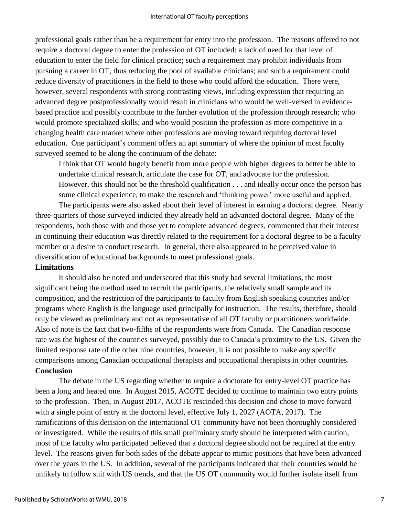professional goals rather than be a requirement for entry into the profession. The reasons offered to not require a doctoral degree to enter the profession of OT included: a lack of need for that level of education to enter the field for clinical practice; such a requirement may prohibit individuals from pursuing a career in OT, thus reducing the pool of available clinicians; and such a requirement could reduce diversity of practitioners in the field to those who could afford the education. There were, however, several respondents with strong contrasting views, including expression that requiring an advanced degree postprofessionally would result in clinicians who would be well-versed in evidencebased practice and possibly contribute to the further evolution of the profession through research; who would promote specialized skills; and who would position the profession as more competitive in a changing health care market where other professions are moving toward requiring doctoral level education. One participant's comment offers an apt summary of where the opinion of most faculty surveyed seemed to be along the continuum of the debate:

I think that OT would hugely benefit from more people with higher degrees to better be able to undertake clinical research, articulate the case for OT, and advocate for the profession. However, this should not be the threshold qualification . . . and ideally occur once the person has some clinical experience, to make the research and 'thinking power' more useful and applied.

The participants were also asked about their level of interest in earning a doctoral degree. Nearly three-quarters of those surveyed indicted they already held an advanced doctoral degree. Many of the respondents, both those with and those yet to complete advanced degrees, commented that their interest in continuing their education was directly related to the requirement for a doctoral degree to be a faculty member or a desire to conduct research. In general, there also appeared to be perceived value in diversification of educational backgrounds to meet professional goals.

# **Limitations**

It should also be noted and underscored that this study had several limitations, the most significant being the method used to recruit the participants, the relatively small sample and its composition, and the restriction of the participants to faculty from English speaking countries and/or programs where English is the language used principally for instruction. The results, therefore, should only be viewed as preliminary and not as representative of all OT faculty or practitioners worldwide. Also of note is the fact that two-fifths of the respondents were from Canada. The Canadian response rate was the highest of the countries surveyed, possibly due to Canada's proximity to the US. Given the limited response rate of the other nine countries, however, it is not possible to make any specific comparisons among Canadian occupational therapists and occupational therapists in other countries. **Conclusion**

The debate in the US regarding whether to require a doctorate for entry-level OT practice has been a long and heated one. In August 2015, ACOTE decided to continue to maintain two entry points to the profession. Then, in August 2017, ACOTE rescinded this decision and chose to move forward with a single point of entry at the doctoral level, effective July 1, 2027 (AOTA, 2017). The ramifications of this decision on the international OT community have not been thoroughly considered or investigated. While the results of this small preliminary study should be interpreted with caution, most of the faculty who participated believed that a doctoral degree should not be required at the entry level. The reasons given for both sides of the debate appear to mimic positions that have been advanced over the years in the US. In addition, several of the participants indicated that their countries would be unlikely to follow suit with US trends, and that the US OT community would further isolate itself from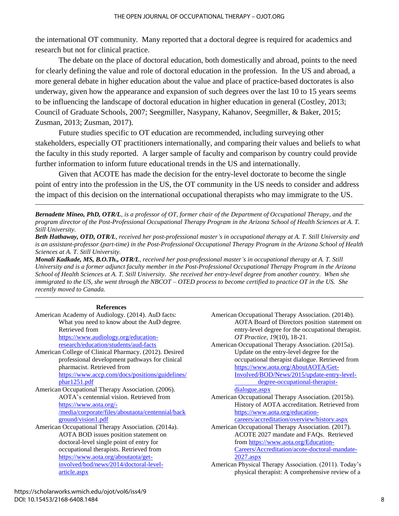the international OT community. Many reported that a doctoral degree is required for academics and research but not for clinical practice.

The debate on the place of doctoral education, both domestically and abroad, points to the need for clearly defining the value and role of doctoral education in the profession. In the US and abroad, a more general debate in higher education about the value and place of practice-based doctorates is also underway, given how the appearance and expansion of such degrees over the last 10 to 15 years seems to be influencing the landscape of doctoral education in higher education in general (Costley, 2013; Council of Graduate Schools, 2007; Seegmiller, Nasypany, Kahanov, Seegmiller, & Baker, 2015; Zusman, 2013; Zusman, 2017).

Future studies specific to OT education are recommended, including surveying other stakeholders, especially OT practitioners internationally, and comparing their values and beliefs to what the faculty in this study reported. A larger sample of faculty and comparison by country could provide further information to inform future educational trends in the US and internationally.

Given that ACOTE has made the decision for the entry-level doctorate to become the single point of entry into the profession in the US, the OT community in the US needs to consider and address the impact of this decision on the international occupational therapists who may immigrate to the US.

*Bernadette Mineo, PhD, OTR/L, is a professor of OT, former chair of the Department of Occupational Therapy, and the program director of the Post-Professional Occupational Therapy Program in the Arizona School of Health Sciences at A. T. Still University.*

*Beth Hathaway, OTD, OTR/L, received her post-professional master's in occupational therapy at A. T. Still University and is an assistant-professor (part-time) in the Post-Professional Occupational Therapy Program in the Arizona School of Health Sciences at A. T. Still University.*

*Monali Kadkade, MS, B.O.Th., OTR/L, received her post-professional master's in occupational therapy at A. T. Still University and is a former adjunct faculty member in the Post-Professional Occupational Therapy Program in the Arizona School of Health Sciences at A. T. Still University. She received her entry-level degree from another country. When she immigrated to the US, she went through the NBCOT – OTED process to become certified to practice OT in the US. She recently moved to Canada.*

#### **References**

- American Academy of Audiology. (2014). AuD facts: What you need to know about the AuD degree. Retrieved from [https://www.audiology.org/education](https://www.audiology.org/education-research/education/students/aud-facts)[research/education/students/aud-facts](https://www.audiology.org/education-research/education/students/aud-facts) American College of Clinical Pharmacy. (2012). Desired professional development pathways for clinical pharmacist. Retrieved from [https://www.accp.com/docs/positions/guidelines/](https://www.accp.com/docs/positions/guidelines/phar1251.pdf) [phar1251.pdf](https://www.accp.com/docs/positions/guidelines/phar1251.pdf) American Occupational Therapy Association. (2006). AOTA's centennial vision. Retrieved from [https://www.aota.org/-](https://www.aota.org/-/media/corporate/files/aboutaota/centennial/background/vision1.pdf) [/media/corporate/files/aboutaota/centennial/back](https://www.aota.org/-/media/corporate/files/aboutaota/centennial/background/vision1.pdf) [ground/vision1.pdf](https://www.aota.org/-/media/corporate/files/aboutaota/centennial/background/vision1.pdf) American Occupational Therapy Association. (2014a). AOTA BOD issues position statement on doctoral-level single point of entry for occupational therapists. Retrieved from [https://www.aota.org/aboutaota/get](https://www.aota.org/aboutaota/get-involved/bod/news/2014/doctoral-level-article.aspx)[involved/bod/news/2014/doctoral-level](https://www.aota.org/aboutaota/get-involved/bod/news/2014/doctoral-level-article.aspx)[article.aspx](https://www.aota.org/aboutaota/get-involved/bod/news/2014/doctoral-level-article.aspx)
- American Occupational Therapy Association. (2014b). AOTA Board of Directors position statement on entry-level degree for the occupational therapist. *OT Practice*, *19*(10), 18-21.
- American Occupational Therapy Association. (2015a). Update on the entry-level degree for the occupational therapist dialogue. Retrieved from [https://www.aota.org/AboutAOTA/Get-](https://www.aota.org/AboutAOTA/Get-Involved/BOD/News/2015/update-entry-level-degree-occupational-therapist-dialogue.aspx)[Involved/BOD/News/2015/update-entry-level](https://www.aota.org/AboutAOTA/Get-Involved/BOD/News/2015/update-entry-level-degree-occupational-therapist-dialogue.aspx)[degree-occupational-therapist-](https://www.aota.org/AboutAOTA/Get-Involved/BOD/News/2015/update-entry-level-degree-occupational-therapist-dialogue.aspx)

[dialogue.aspx](https://www.aota.org/AboutAOTA/Get-Involved/BOD/News/2015/update-entry-level-degree-occupational-therapist-dialogue.aspx) American Occupational Therapy Association. (2015b). History of AOTA accreditation. Retrieved from [https://www.aota.org/education-](https://www.aota.org/education-careers/accreditation/overview/history.aspx)

[careers/accreditation/overview/history.aspx](https://www.aota.org/education-careers/accreditation/overview/history.aspx)

American Occupational Therapy Association. (2017). ACOTE 2027 mandate and FAQs. Retrieved from [https://www.aota.org/Education-](https://www.aota.org/Education-Careers/Accreditation/acote-doctoral-mandate-2027.aspx)[Careers/Accreditation/acote-doctoral-mandate-](https://www.aota.org/Education-Careers/Accreditation/acote-doctoral-mandate-2027.aspx)[2027.aspx](https://www.aota.org/Education-Careers/Accreditation/acote-doctoral-mandate-2027.aspx)

American Physical Therapy Association. (2011). Today's physical therapist: A comprehensive review of a